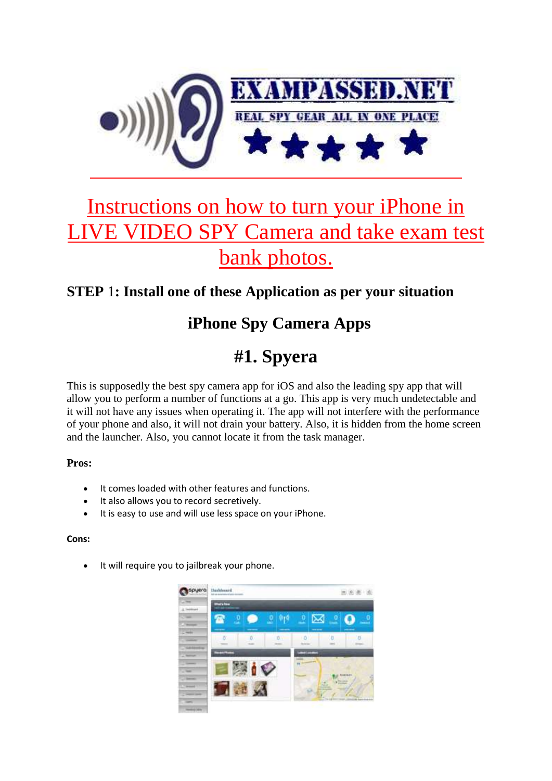

# Instructions on how to turn your iPhone in VIDEO SPY Camera and take exam test bank photos.

### **STEP** 1**: Install one of these Application as per your situation**

### **iPhone Spy Camera Apps**

## **#1. Spyera**

This is supposedly the best spy camera app for iOS and also the leading spy app that will allow you to perform a number of functions at a go. This app is very much undetectable and it will not have any issues when operating it. The app will not interfere with the performance of your phone and also, it will not drain your battery. Also, it is hidden from the home screen and the launcher. Also, you cannot locate it from the task manager.

### **Pros:**

- It comes loaded with other features and functions.
- It also allows you to record secretively.
- It is easy to use and will use less space on your iPhone.

### **Cons:**

It will require you to jailbreak your phone.

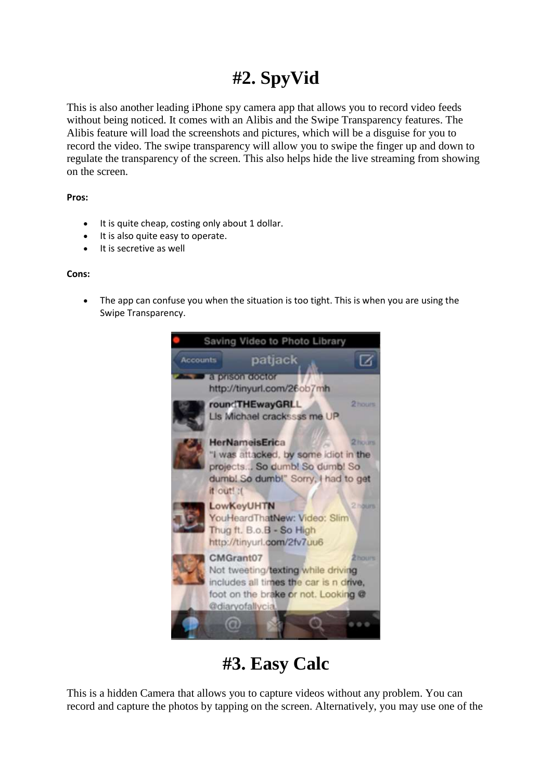## **#2. SpyVid**

This is also another leading iPhone spy camera app that allows you to record video feeds without being noticed. It comes with an Alibis and the Swipe Transparency features. The Alibis feature will load the screenshots and pictures, which will be a disguise for you to record the video. The swipe transparency will allow you to swipe the finger up and down to regulate the transparency of the screen. This also helps hide the live streaming from showing on the screen.

#### **Pros:**

- It is quite cheap, costing only about 1 dollar.
- It is also quite easy to operate.
- It is secretive as well

### **Cons:**

• The app can confuse you when the situation is too tight. This is when you are using the Swipe Transparency.



## **#3. Easy Calc**

This is a hidden Camera that allows you to capture videos without any problem. You can record and capture the photos by tapping on the screen. Alternatively, you may use one of the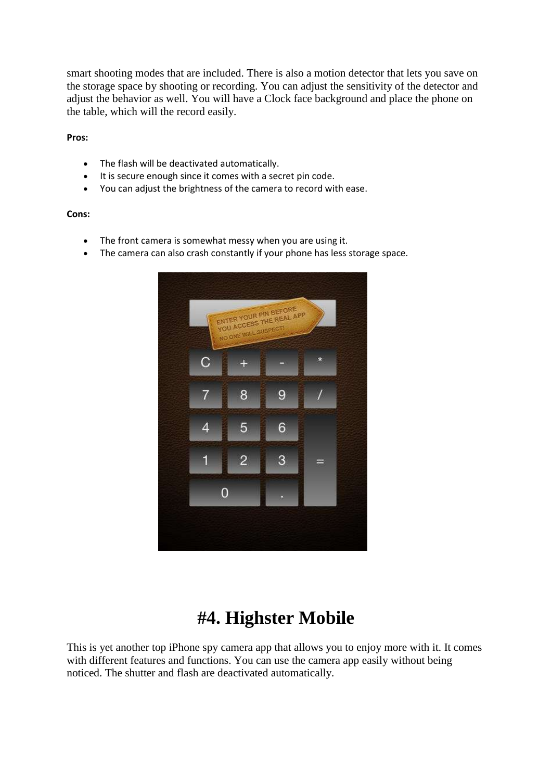smart shooting modes that are included. There is also a motion detector that lets you save on the storage space by shooting or recording. You can adjust the sensitivity of the detector and adjust the behavior as well. You will have a Clock face background and place the phone on the table, which will the record easily.

**Pros:**

- The flash will be deactivated automatically.
- It is secure enough since it comes with a secret pin code.
- You can adjust the brightness of the camera to record with ease.

#### **Cons:**

- The front camera is somewhat messy when you are using it.
- The camera can also crash constantly if your phone has less storage space.



## **#4. Highster Mobile**

This is yet another top iPhone spy camera app that allows you to enjoy more with it. It comes with different features and functions. You can use the camera app easily without being noticed. The shutter and flash are deactivated automatically.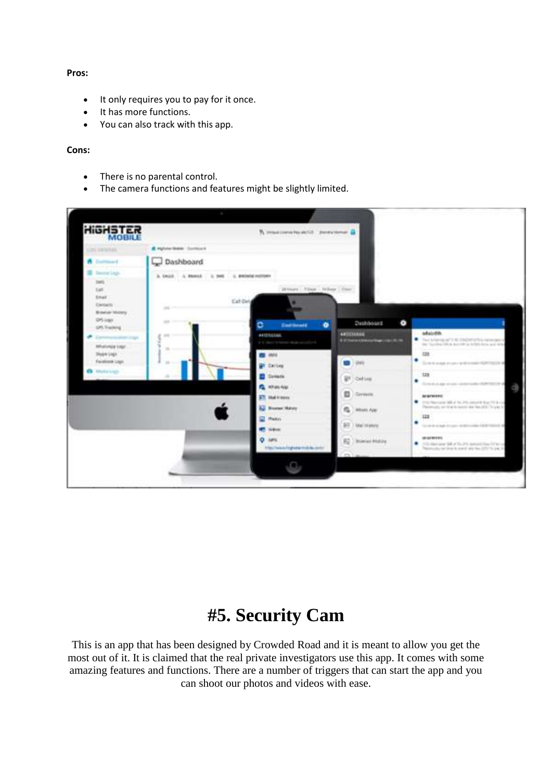#### **Pros:**

- It only requires you to pay for it once.
- It has more functions.
- You can also track with this app.

#### **Cons:**

- There is no parental control.
- The camera functions and features might be slightly limited.

| <b>HIGHSTER</b>                                                                                                                                                                                                                                                                               |                           | A maximum husball, postument &                                                          |                                                                                   |                                                                                                                                         |
|-----------------------------------------------------------------------------------------------------------------------------------------------------------------------------------------------------------------------------------------------------------------------------------------------|---------------------------|-----------------------------------------------------------------------------------------|-----------------------------------------------------------------------------------|-----------------------------------------------------------------------------------------------------------------------------------------|
| Line contented.                                                                                                                                                                                                                                                                               | A vighter-lease Continues |                                                                                         |                                                                                   |                                                                                                                                         |
| A Enthusia                                                                                                                                                                                                                                                                                    | Dashboard                 |                                                                                         |                                                                                   |                                                                                                                                         |
| Director Lingis<br><b>SWIN</b><br><b>Kali</b><br><b>Billian</b><br><b>Cartiacto</b><br><b>Britalnich Vitaliany</b>                                                                                                                                                                            | $\frac{1}{2}$             | Jensey; Nega - Wiley; Chee;<br><b>Call Dirty</b>                                        |                                                                                   |                                                                                                                                         |
| GPS (egg)<br>GPS Tracking<br><b>RELATIVIALS LIKE!</b>                                                                                                                                                                                                                                         | and control<br>$\sim$     | <b>Dashkoard</b><br>۰<br>c<br><b>ALCOHOL:</b><br>If It cannot behaves structured by the | Dasilyboard<br>$\bullet$<br>ANTENNA<br>It of Assistant Metropolitaneously all the | adairdin.<br>F. Bus Alderson 11-6 (Well-Profit a benefield<br>the "lucinarities surviver in bright data and min-<br>328                 |
| Division Lingin<br>Facalized Laps<br>Marka Loan<br><b><i>Advised Advised Advised Advised Advised Advised Advised Advised Advised Advised Advised Advised Advised Advised Advised Advised Advised Advised Advised Advised Advised Advised Advised Advised Advised Advised Advised Advi</i></b> |                           | <b>CO</b> HAVA<br><b>UR Calling</b><br><b>Consens</b><br><b>G.</b> Hhas Age             | <b>DHI</b><br>w<br>Galliag                                                        | ٠<br>School and many of the cost<br>128<br>٠<br>Send duty mon-dis-<br>Æ                                                                 |
|                                                                                                                                                                                                                                                                                               |                           | <b>ET Indicate</b><br><b>U. Boston Malay</b>                                            | o<br><b>Coreste</b><br>n,<br>when App                                             | <b>AFRICATES</b><br>The interfactorization with at the CPD manager than 1970 to an<br>Persons in the local link link link on the<br>122 |
|                                                                                                                                                                                                                                                                                               |                           | <b>CO Plants</b><br><b>CE GAVE</b>                                                      | <b>Bill</b> ) Mainteney                                                           | ٠<br>To meet at much diverse and discussion (delib)<br><b>MARKET</b>                                                                    |
|                                                                                                                                                                                                                                                                                               |                           | $O$ latts:<br><b>TECHNOLOGICAL SEC</b>                                                  | EQ / Interior Holting                                                             | ٠<br>This demand \$80 of the 2PC assumi learning to<br>Please plus be line to pack and has (25) To pack                                 |
|                                                                                                                                                                                                                                                                                               |                           |                                                                                         |                                                                                   |                                                                                                                                         |

## **#5. Security Cam**

This is an app that has been designed by Crowded Road and it is meant to allow you get the most out of it. It is claimed that the real private investigators use this app. It comes with some amazing features and functions. There are a number of triggers that can start the app and you can shoot our photos and videos with ease.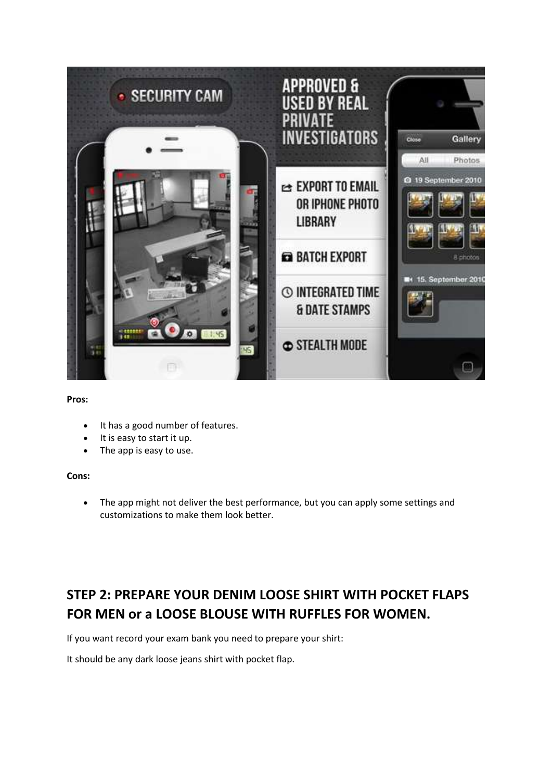

#### **Pros:**

- It has a good number of features.
- It is easy to start it up.
- The app is easy to use.

#### **Cons:**

• The app might not deliver the best performance, but you can apply some settings and customizations to make them look better.

### **STEP 2: PREPARE YOUR DENIM LOOSE SHIRT WITH POCKET FLAPS FOR MEN or a LOOSE BLOUSE WITH RUFFLES FOR WOMEN.**

If you want record your exam bank you need to prepare your shirt:

It should be any dark loose jeans shirt with pocket flap.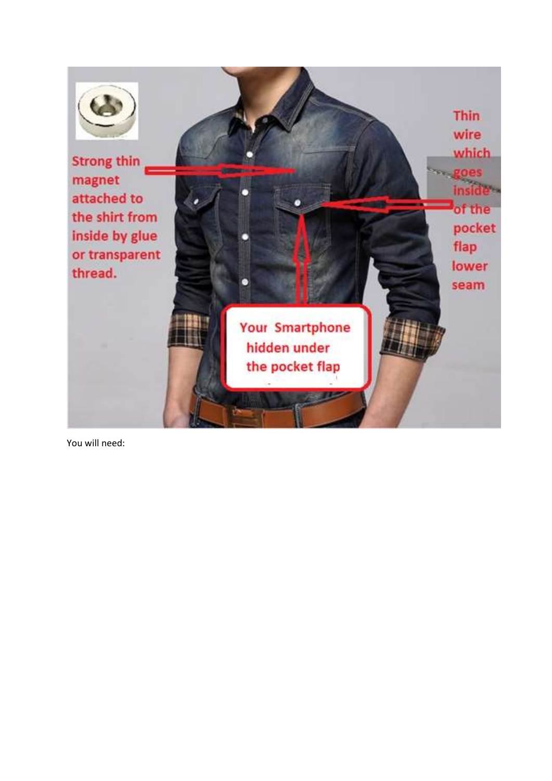

You will need: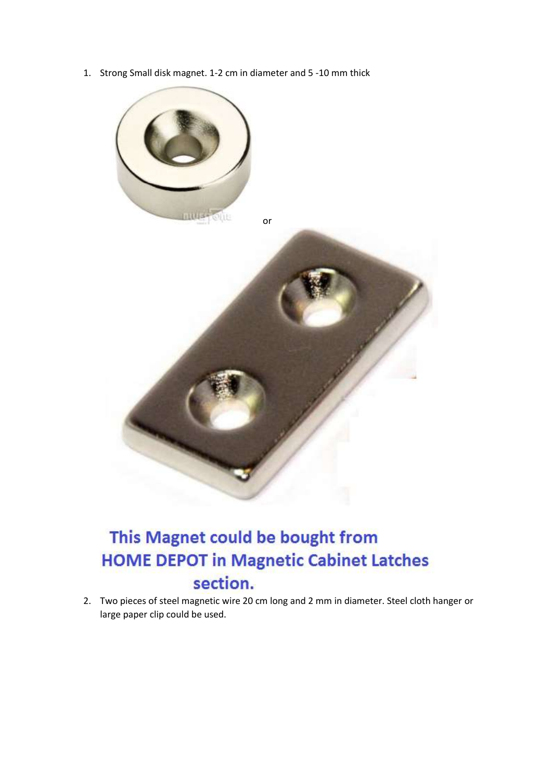1. Strong Small disk magnet. 1-2 cm in diameter and 5 -10 mm thick



## This Magnet could be bought from **HOME DEPOT in Magnetic Cabinet Latches** section.

2. Two pieces of steel magnetic wire 20 cm long and 2 mm in diameter. Steel cloth hanger or large paper clip could be used.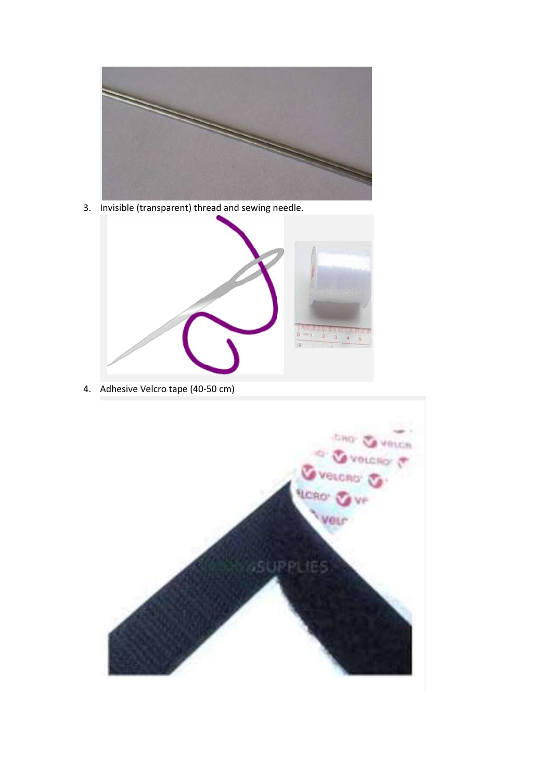

3. Invisible (transparent) thread and sewing needle.



4. Adhesive Velcro tape (40-50 cm)

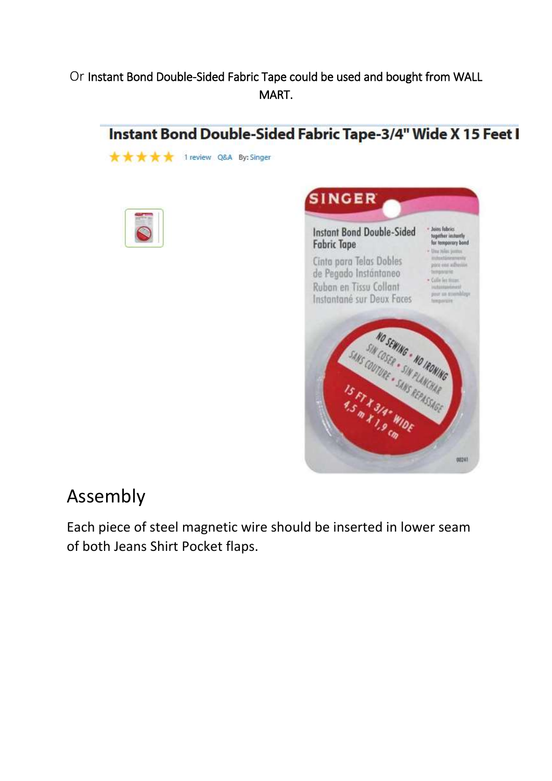### Or Instant Bond Double-Sided Fabric Tape could be used and bought from WALL MART.



★ ★ ★ ★ 1 review Q&A By: Singer





## Assembly

Each piece of steel magnetic wire should be inserted in lower seam of both Jeans Shirt Pocket flaps.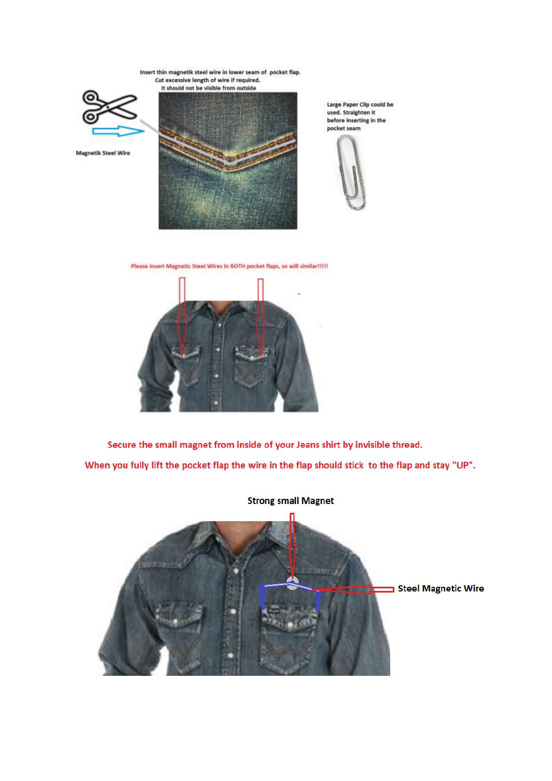Insert thin magnetik steel wire in lower seam of pocket flap. Cut excessive length of wire if required. It should not be visible from outside



**Magnetik Steel Wire** 



Large Paper Clip could be used. Straighten it before inserting in the pocket seam



Please Insert Magnetic Steel Wires in BOTH pocket flaps, so will similar !!!!!



Secure the small magnet from inside of your Jeans shirt by invisible thread. When you fully lift the pocket flap the wire in the flap should stick to the flap and stay "UP".

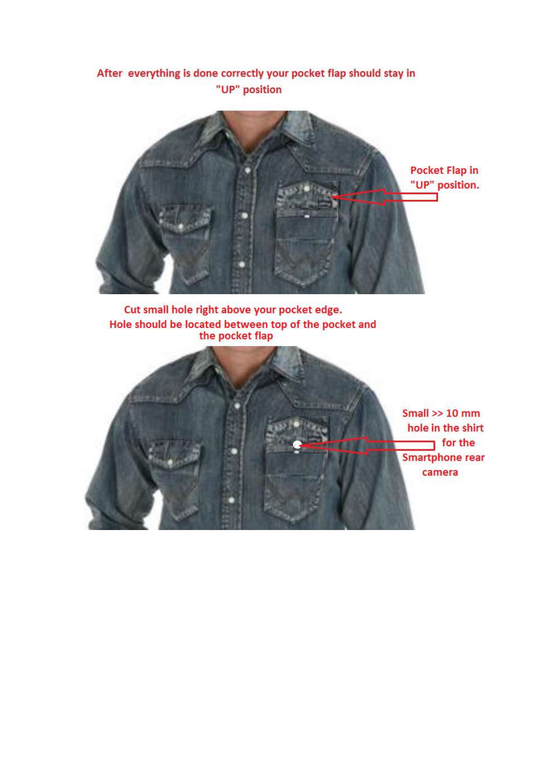### After everything is done correctly your pocket flap should stay in "UP" position



Cut small hole right above your pocket edge. Hole should be located between top of the pocket and<br>the pocket flap

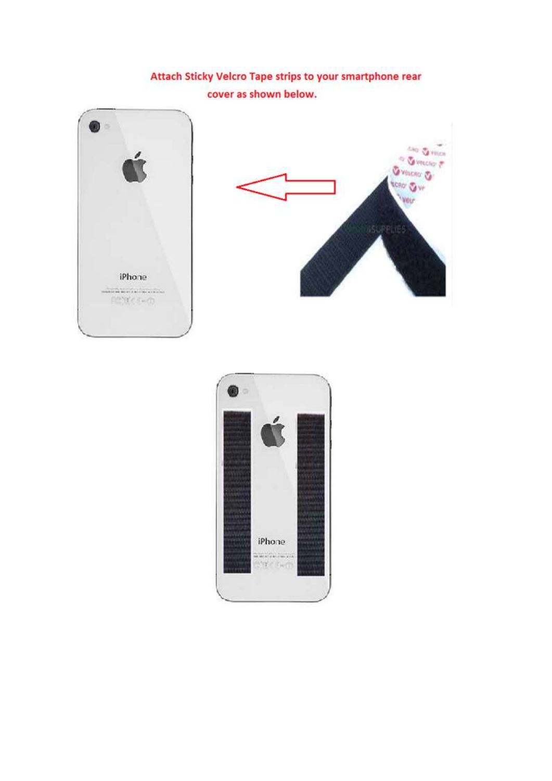### Attach Sticky Velcro Tape strips to your smartphone rear cover as shown below.





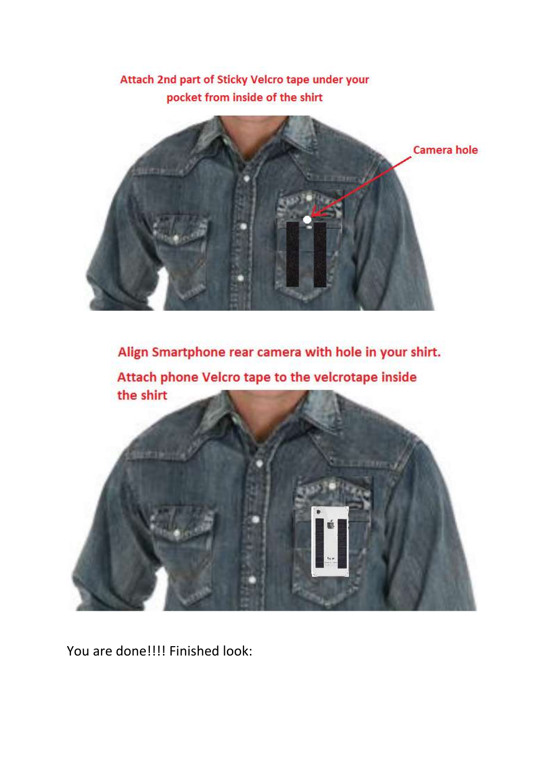



Align Smartphone rear camera with hole in your shirt. Attach phone Velcro tape to the velcrotape inside the shirt

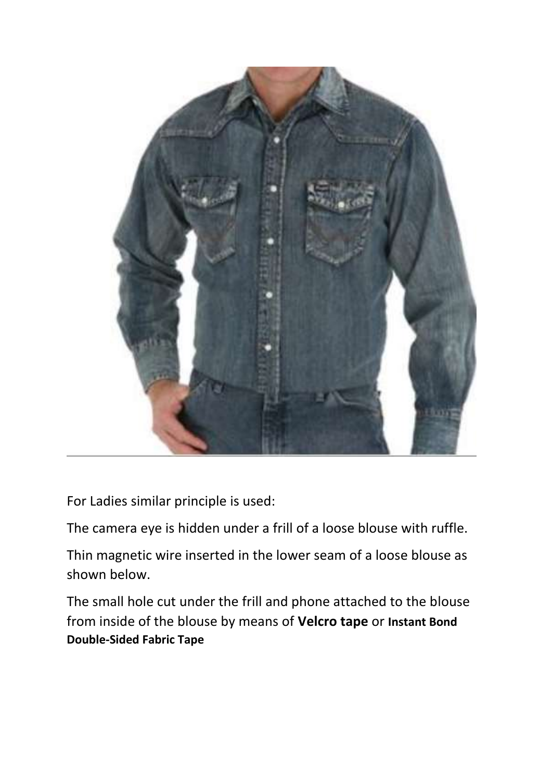

For Ladies similar principle is used:

The camera eye is hidden under a frill of a loose blouse with ruffle.

Thin magnetic wire inserted in the lower seam of a loose blouse as shown below.

The small hole cut under the frill and phone attached to the blouse from inside of the blouse by means of **Velcro tape** or **Instant Bond Double-Sided Fabric Tape**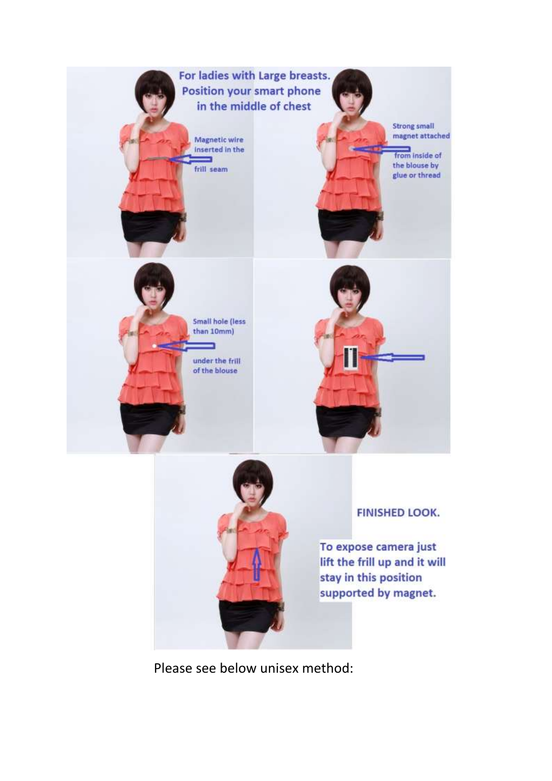



### **FINISHED LOOK.**

To expose camera just lift the frill up and it will stay in this position supported by magnet.

Please see below unisex method: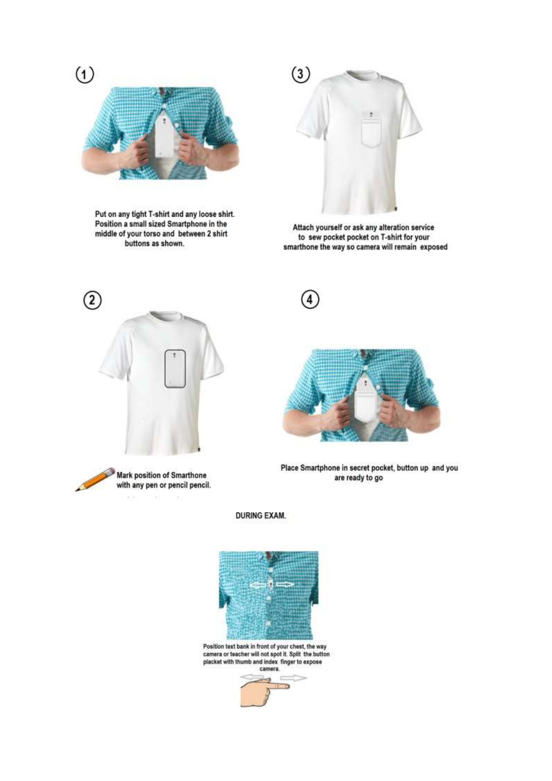

Put on any tight T-shirt and any loose shirt. Position a small sized Smartphone in the middle of your torso and between 2 shirt buttons as shown.



Attach yourself or ask any alteration service to sew pocket pocket on T-shirt for your<br>smarthone the way so camera will remain exposed

T







Place Smartphone in secret pocket, button up and you are ready to go

#### **DURING EXAM.**



Position text bank in front of your chest, the way<br>camera or teacher will not spot it. Split the button<br>placket with thumb and index finger to expose camera.